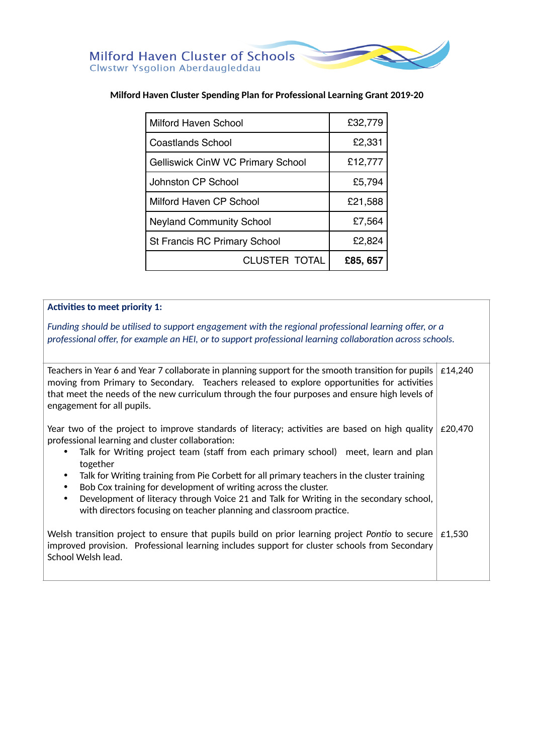# **Milford Haven Cluster Spending Plan for Professional Learning Grant 2019-20**

| Milford Haven School                     | £32,779  |
|------------------------------------------|----------|
| Coastlands School                        | £2,331   |
| <b>Gelliswick CinW VC Primary School</b> | £12,777  |
| Johnston CP School                       | £5,794   |
| Milford Haven CP School                  | £21,588  |
| <b>Neyland Community School</b>          | £7,564   |
| <b>St Francis RC Primary School</b>      | £2,824   |
| CLUSTER TOTAL                            | £85, 657 |

#### **Activities to meet priority 1:**

*Funding should be utilised to support engagement with the regional professional learning offer, or a professional offer, for example an HEI, or to support professional learning collaboration across schools.* 

| Teachers in Year 6 and Year 7 collaborate in planning support for the smooth transition for pupils<br>moving from Primary to Secondary. Teachers released to explore opportunities for activities<br>that meet the needs of the new curriculum through the four purposes and ensure high levels of<br>engagement for all pupils.                                                                                                                                                                                                                                                                                                     | £14,240 |
|--------------------------------------------------------------------------------------------------------------------------------------------------------------------------------------------------------------------------------------------------------------------------------------------------------------------------------------------------------------------------------------------------------------------------------------------------------------------------------------------------------------------------------------------------------------------------------------------------------------------------------------|---------|
| Year two of the project to improve standards of literacy; activities are based on high quality<br>professional learning and cluster collaboration:<br>Talk for Writing project team (staff from each primary school) meet, learn and plan<br>$\bullet$<br>together<br>Talk for Writing training from Pie Corbett for all primary teachers in the cluster training<br>$\bullet$<br>Bob Cox training for development of writing across the cluster.<br>٠<br>Development of literacy through Voice 21 and Talk for Writing in the secondary school,<br>$\bullet$<br>with directors focusing on teacher planning and classroom practice. | £20.470 |
| Welsh transition project to ensure that pupils build on prior learning project Pontio to secure<br>improved provision. Professional learning includes support for cluster schools from Secondary<br>School Welsh lead.                                                                                                                                                                                                                                                                                                                                                                                                               | £1.530  |